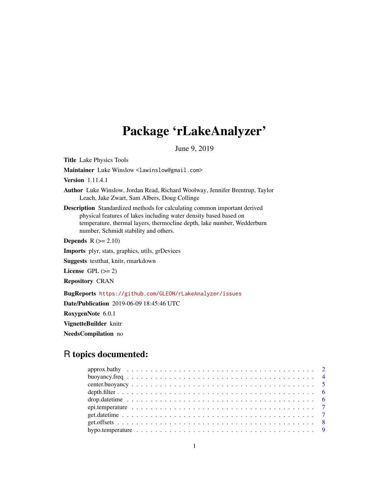# Package 'rLakeAnalyzer'

June 9, 2019

<span id="page-0-0"></span>Title Lake Physics Tools

Maintainer Luke Winslow <lawinslow@gmail.com>

Version 1.11.4.1

- Author Luke Winslow, Jordan Read, Richard Woolway, Jennifer Brentrup, Taylor Leach, Jake Zwart, Sam Albers, Doug Collinge
- Description Standardized methods for calculating common important derived physical features of lakes including water density based based on temperature, thermal layers, thermocline depth, lake number, Wedderburn number, Schmidt stability and others.

**Depends**  $R$  ( $>= 2.10$ )

Imports plyr, stats, graphics, utils, grDevices

Suggests testthat, knitr, rmarkdown

License GPL  $(>= 2)$ 

Repository CRAN

BugReports <https://github.com/GLEON/rLakeAnalyzer/issues>

Date/Publication 2019-06-09 18:45:46 UTC

RoxygenNote 6.0.1

VignetteBuilder knitr

NeedsCompilation no

# R topics documented: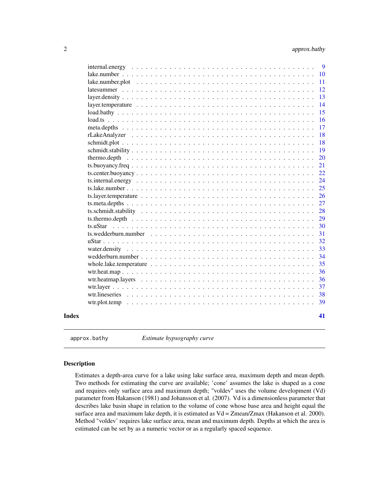<span id="page-1-0"></span>

|       | $internal. energy \dots \dots \dots \dots \dots \dots \dots \dots \dots \dots \dots \dots \dots \dots \dots \dots \dots$ | 9<br>10 |
|-------|--------------------------------------------------------------------------------------------------------------------------|---------|
|       | lake.number.plot                                                                                                         | 11      |
|       |                                                                                                                          | 12      |
|       |                                                                                                                          | 13      |
|       | layer.temperature $\ldots \ldots \ldots \ldots \ldots \ldots \ldots \ldots \ldots \ldots \ldots \ldots \ldots$           | 14      |
|       | $load.bathy \ldots \ldots \ldots \ldots \ldots \ldots \ldots \ldots \ldots \ldots \ldots \ldots$                         | 15      |
|       | $load.ts \ldots \ldots \ldots \ldots$                                                                                    | 16      |
|       |                                                                                                                          | 17      |
|       |                                                                                                                          | 18      |
|       |                                                                                                                          | 18      |
|       |                                                                                                                          | 19      |
|       |                                                                                                                          | 20      |
|       |                                                                                                                          | 21      |
|       |                                                                                                                          | 22      |
|       |                                                                                                                          | 24      |
|       |                                                                                                                          | 25      |
|       |                                                                                                                          | 26      |
|       |                                                                                                                          | 27      |
|       |                                                                                                                          | 28      |
|       | ts.thermo.depth $\ldots \ldots \ldots \ldots \ldots \ldots \ldots \ldots \ldots \ldots \ldots \ldots$                    | 29      |
|       |                                                                                                                          | 30      |
|       | ts.wedderburn.number                                                                                                     | 31      |
|       |                                                                                                                          | 32      |
|       |                                                                                                                          | 33      |
|       |                                                                                                                          | 34      |
|       | whole.lake.temperature $\ldots \ldots \ldots \ldots \ldots \ldots \ldots \ldots \ldots \ldots \ldots \ldots$             | 35      |
|       |                                                                                                                          | 36      |
|       |                                                                                                                          | 36      |
|       |                                                                                                                          | 37      |
|       |                                                                                                                          | 38      |
|       |                                                                                                                          | 39      |
| Index |                                                                                                                          | 41      |

approx.bathy *Estimate hypsography curve*

# Description

Estimates a depth-area curve for a lake using lake surface area, maximum depth and mean depth. Two methods for estimating the curve are available; 'cone' assumes the lake is shaped as a cone and requires only surface area and maximum depth; "voldev" uses the volume development (Vd) parameter from Hakanson (1981) and Johansson et al. (2007). Vd is a dimensionless parameter that describes lake basin shape in relation to the volume of cone whose base area and height equal the surface area and maximum lake depth, it is estimated as  $Vd = Zmean/Zmax$  (Hakanson et al. 2000). Method "voldev' requires lake surface area, mean and maximum depth. Depths at which the area is estimated can be set by as a numeric vector or as a regularly spaced sequence.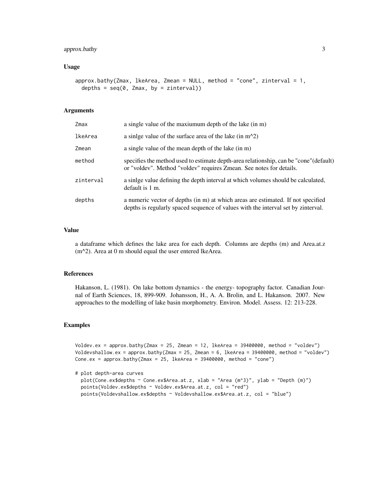# approx.bathy 3

#### Usage

```
approx.bathy(Zmax, Ikearea, Zmean = NULL, method = "cone", zinterval = 1,depths = seq(0, Zmax, by = zinterval))
```
# Arguments

| Zmax      | a single value of the maxiumum depth of the lake (in m)                                                                                                               |
|-----------|-----------------------------------------------------------------------------------------------------------------------------------------------------------------------|
| lkeArea   | a sinlge value of the surface area of the lake (in $m^2$ )                                                                                                            |
| Zmean     | a single value of the mean depth of the lake (in m)                                                                                                                   |
| method    | specifies the method used to estimate depth-area relationship, can be "cone" (default)<br>or "voldev". Method "voldev" requires Zmean. See notes for details.         |
| zinterval | a sinlge value defining the depth interval at which volumes should be calculated,<br>default is 1 m.                                                                  |
| depths    | a numeric vector of depths (in m) at which areas are estimated. If not specified<br>depths is regularly spaced sequence of values with the interval set by zinterval. |

# Value

a dataframe which defines the lake area for each depth. Columns are depths (m) and Area.at.z (m^2). Area at 0 m should equal the user entered lkeArea.

#### References

Hakanson, L. (1981). On lake bottom dynamics - the energy- topography factor. Canadian Journal of Earth Sciences, 18, 899-909. Johansson, H., A. A. Brolin, and L. Hakanson. 2007. New approaches to the modelling of lake basin morphometry. Environ. Model. Assess. 12: 213-228.

#### Examples

```
Voldev.ex = approx.bathy(Zmax = 25, Zmean = 12, lkeArea = 39400000, method = "voldev")
Voldevshallow.ex = approx.bathy(Zmax = 25, Zmean = 6, lkeArea = 39400000, method = "voldev")
Cone.ex = approx.bathy(Zmax = 25, lkeArea = 39400000, method = "cone")
```
# plot depth-area curves

```
plot(Cone.ex$depths ~ Cone.ex$Area.at.z, xlab = "Area (m^3)", ylab = "Depth (m)")
points(Voldev.ex$depths ~ Voldev.ex$Area.at.z, col = "red")
points(Voldevshallow.ex$depths ~ Voldevshallow.ex$Area.at.z, col = "blue")
```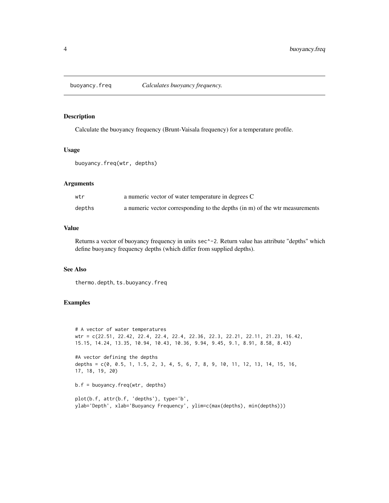<span id="page-3-0"></span>

Calculate the buoyancy frequency (Brunt-Vaisala frequency) for a temperature profile.

# Usage

```
buoyancy.freq(wtr, depths)
```
# Arguments

| wtr    | a numeric vector of water temperature in degrees C                          |
|--------|-----------------------------------------------------------------------------|
| depths | a numeric vector corresponding to the depths (in m) of the wtr measurements |

#### Value

Returns a vector of buoyancy frequency in units sec^-2. Return value has attribute "depths" which define buoyancy frequency depths (which differ from supplied depths).

# See Also

thermo.depth, ts.buoyancy.freq

#### Examples

```
# A vector of water temperatures
wtr = c(22.51, 22.42, 22.4, 22.4, 22.4, 22.36, 22.3, 22.21, 22.11, 21.23, 16.42,
15.15, 14.24, 13.35, 10.94, 10.43, 10.36, 9.94, 9.45, 9.1, 8.91, 8.58, 8.43)
#A vector defining the depths
depths = c(0, 0.5, 1, 1.5, 2, 3, 4, 5, 6, 7, 8, 9, 10, 11, 12, 13, 14, 15, 16,
17, 18, 19, 20)
b.f = buoyancy.freq(wtr, depths)
```

```
plot(b.f, attr(b.f, 'depths'), type='b',
ylab='Depth', xlab='Buoyancy Frequency', ylim=c(max(depths), min(depths)))
```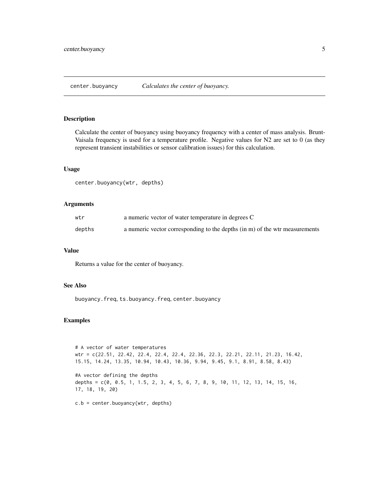<span id="page-4-0"></span>

Calculate the center of buoyancy using buoyancy frequency with a center of mass analysis. Brunt-Vaisala frequency is used for a temperature profile. Negative values for N2 are set to 0 (as they represent transient instabilities or sensor calibration issues) for this calculation.

#### Usage

center.buoyancy(wtr, depths)

#### Arguments

| wtr    | a numeric vector of water temperature in degrees C                          |
|--------|-----------------------------------------------------------------------------|
| depths | a numeric vector corresponding to the depths (in m) of the wtr measurements |

#### Value

Returns a value for the center of buoyancy.

# See Also

buoyancy.freq, ts.buoyancy.freq, center.buoyancy

#### Examples

```
# A vector of water temperatures
wtr = c(22.51, 22.42, 22.4, 22.4, 22.4, 22.36, 22.3, 22.21, 22.11, 21.23, 16.42,
15.15, 14.24, 13.35, 10.94, 10.43, 10.36, 9.94, 9.45, 9.1, 8.91, 8.58, 8.43)
#A vector defining the depths
depths = c(0, 0.5, 1, 1.5, 2, 3, 4, 5, 6, 7, 8, 9, 10, 11, 12, 13, 14, 15, 16,17, 18, 19, 20)
```
c.b = center.buoyancy(wtr, depths)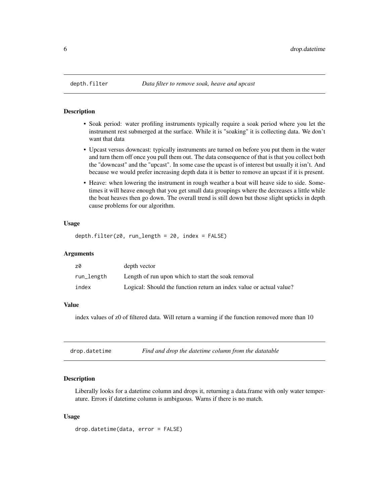<span id="page-5-0"></span>

- Soak period: water profiling instruments typically require a soak period where you let the instrument rest submerged at the surface. While it is "soaking" it is collecting data. We don't want that data
- Upcast versus downcast: typically instruments are turned on before you put them in the water and turn them off once you pull them out. The data consequence of that is that you collect both the "downcast" and the "upcast". In some case the upcast is of interest but usually it isn't. And because we would prefer increasing depth data it is better to remove an upcast if it is present.
- Heave: when lowering the instrument in rough weather a boat will heave side to side. Sometimes it will heave enough that you get small data groupings where the decreases a little while the boat heaves then go down. The overall trend is still down but those slight upticks in depth cause problems for our algorithm.

#### Usage

```
depth.filter(z0, run_length = 20, index = FALSE)
```
#### Arguments

| z0         | depth vector                                                        |
|------------|---------------------------------------------------------------------|
| run_length | Length of run upon which to start the soak removal                  |
| index      | Logical: Should the function return an index value or actual value? |

#### Value

index values of z0 of filtered data. Will return a warning if the function removed more than 10

| drop.datetime | Find and drop the datetime column from the datatable |
|---------------|------------------------------------------------------|
|               |                                                      |

#### Description

Liberally looks for a datetime column and drops it, returning a data.frame with only water temperature. Errors if datetime column is ambiguous. Warns if there is no match.

#### Usage

drop.datetime(data, error = FALSE)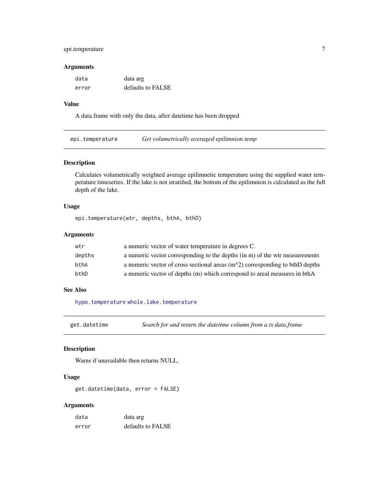# <span id="page-6-0"></span>epi.temperature 7

#### Arguments

| data  | data arg          |
|-------|-------------------|
| error | defaults to FALSE |

#### Value

A data.frame with only the data, after datetime has been dropped

<span id="page-6-1"></span>epi.temperature *Get volumetrically averaged epilimnion temp*

#### Description

Calculates volumetrically weighted average epilimnetic temperature using the supplied water temperature timeseries. If the lake is not stratified, the bottom of the epilimnion is calculated as the full depth of the lake.

# Usage

epi.temperature(wtr, depths, bthA, bthD)

# Arguments

| wtr    | a numeric vector of water temperature in degrees C.                            |
|--------|--------------------------------------------------------------------------------|
| depths | a numeric vector corresponding to the depths (in m) of the wtr measurements    |
| bthA   | a numeric vector of cross sectional areas $(m^2)$ corresponding to bthD depths |
| bthD   | a numeric vector of depths (m) which correspond to areal measures in bthA      |

# See Also

[hypo.temperature](#page-8-1) [whole.lake.temperature](#page-34-1)

get.datetime *Search for and return the datetime column from a ts data.frame*

#### Description

Warns if unavailable then returns NULL.

# Usage

get.datetime(data, error = FALSE)

#### Arguments

| data  | data arg          |
|-------|-------------------|
| error | defaults to FALSE |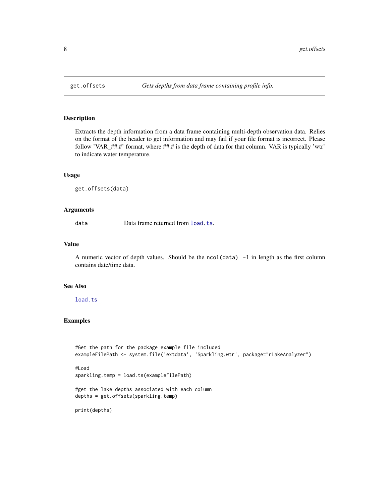Extracts the depth information from a data frame containing multi-depth observation data. Relies on the format of the header to get information and may fail if your file format is incorrect. Please follow 'VAR\_##.#' format, where ##.# is the depth of data for that column. VAR is typically 'wtr' to indicate water temperature.

#### Usage

get.offsets(data)

# Arguments

data Data frame returned from [load.ts](#page-15-1).

#### Value

A numeric vector of depth values. Should be the ncol(data) -1 in length as the first column contains date/time data.

#### See Also

[load.ts](#page-15-1)

#### Examples

```
#Get the path for the package example file included
exampleFilePath <- system.file('extdata', 'Sparkling.wtr', package="rLakeAnalyzer")
#Load
sparkling.temp = load.ts(exampleFilePath)
#get the lake depths associated with each column
depths = get.offsets(sparkling.temp)
print(depths)
```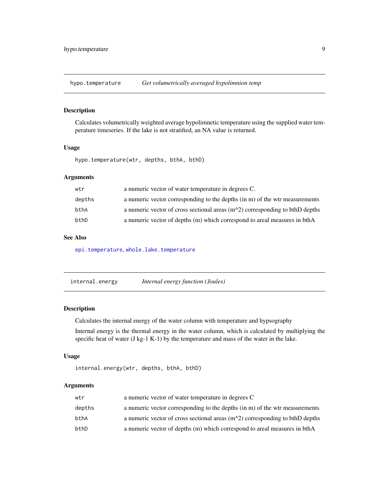<span id="page-8-1"></span><span id="page-8-0"></span>hypo.temperature *Get volumetrically averaged hypolimnion temp*

#### Description

Calculates volumetrically weighted average hypolimnetic temperature using the supplied water temperature timeseries. If the lake is not stratified, an NA value is returned.

#### Usage

hypo.temperature(wtr, depths, bthA, bthD)

#### Arguments

| wtr    | a numeric vector of water temperature in degrees C.                            |
|--------|--------------------------------------------------------------------------------|
| depths | a numeric vector corresponding to the depths (in m) of the wtr measurements    |
| bthA   | a numeric vector of cross sectional areas $(m^2)$ corresponding to bthD depths |
| bthD   | a numeric vector of depths (m) which correspond to areal measures in bthA      |

# See Also

[epi.temperature](#page-6-1), [whole.lake.temperature](#page-34-1)

<span id="page-8-2"></span>internal.energy *Internal energy function (Joules)*

# Description

Calculates the internal energy of the water column with temperature and hypsography

Internal energy is the thermal energy in the water column, which is calculated by multiplying the specific heat of water (J kg-1 K-1) by the temperature and mass of the water in the lake.

# Usage

```
internal.energy(wtr, depths, bthA, bthD)
```
#### Arguments

| wtr    | a numeric vector of water temperature in degrees C                             |
|--------|--------------------------------------------------------------------------------|
| depths | a numeric vector corresponding to the depths (in m) of the wtr measurements    |
| bthA   | a numeric vector of cross sectional areas $(m^2)$ corresponding to bthD depths |
| bthD   | a numeric vector of depths (m) which correspond to areal measures in bthA      |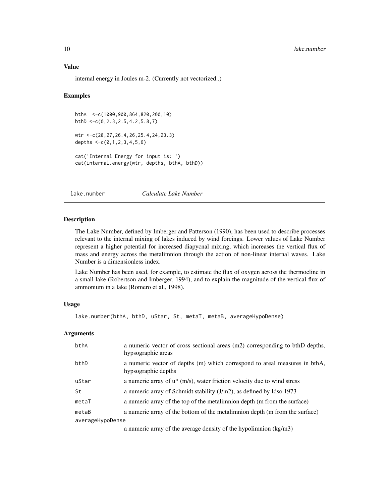#### <span id="page-9-0"></span>Value

internal energy in Joules m-2. (Currently not vectorized..)

#### Examples

```
bthA <-c(1000,900,864,820,200,10)
bthD <-c(0,2.3,2.5,4.2,5.8,7)
wtr <-c(28,27,26.4,26,25.4,24,23.3)
depths lt-c(0,1,2,3,4,5,6)cat('Internal Energy for input is: ')
cat(internal.energy(wtr, depths, bthA, bthD))
```
#### <span id="page-9-1"></span>lake.number *Calculate Lake Number*

#### Description

The Lake Number, defined by Imberger and Patterson (1990), has been used to describe processes relevant to the internal mixing of lakes induced by wind forcings. Lower values of Lake Number represent a higher potential for increased diapycnal mixing, which increases the vertical flux of mass and energy across the metalimnion through the action of non-linear internal waves. Lake Number is a dimensionless index.

Lake Number has been used, for example, to estimate the flux of oxygen across the thermocline in a small lake (Robertson and Imberger, 1994), and to explain the magnitude of the vertical flux of ammonium in a lake (Romero et al., 1998).

# Usage

lake.number(bthA, bthD, uStar, St, metaT, metaB, averageHypoDense)

#### **Arguments**

| bthA             | a numeric vector of cross sectional areas (m2) corresponding to bthD depths,<br>hypsographic areas                                                                                                                                                                                                            |
|------------------|---------------------------------------------------------------------------------------------------------------------------------------------------------------------------------------------------------------------------------------------------------------------------------------------------------------|
| bthD             | a numeric vector of depths (m) which correspond to areal measures in bthA,<br>hypsographic depths                                                                                                                                                                                                             |
| uStar            | a numeric array of $u^*$ (m/s), water friction velocity due to wind stress                                                                                                                                                                                                                                    |
| St               | a numeric array of Schmidt stability $(J/m2)$ , as defined by Idso 1973                                                                                                                                                                                                                                       |
| metaT            | a numeric array of the top of the metalimnion depth (m from the surface)                                                                                                                                                                                                                                      |
| metaB            | a numeric array of the bottom of the metalimnion depth (m from the surface)                                                                                                                                                                                                                                   |
| averageHypoDense |                                                                                                                                                                                                                                                                                                               |
|                  | $\mathcal{C}$ , and the contract $\mathcal{C}$ and $\mathcal{C}$ and $\mathcal{C}$ and $\mathcal{C}$ and $\mathcal{C}$ and $\mathcal{C}$ and $\mathcal{C}$ and $\mathcal{C}$ and $\mathcal{C}$ and $\mathcal{C}$ and $\mathcal{C}$ and $\mathcal{C}$ and $\mathcal{C}$ and $\mathcal{C}$ and $\mathcal{C}$ an |

a numeric array of the average density of the hypolimnion (kg/m3)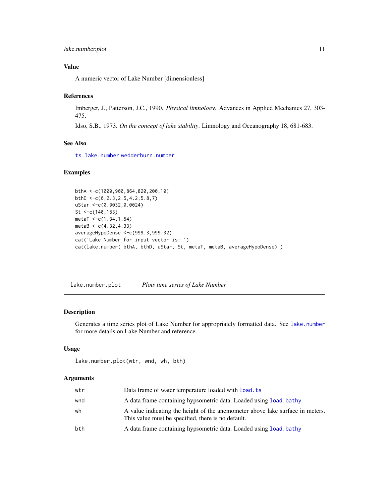# <span id="page-10-0"></span>lake.number.plot 11

# Value

A numeric vector of Lake Number [dimensionless]

#### References

Imberger, J., Patterson, J.C., 1990. *Physical limnology*. Advances in Applied Mechanics 27, 303- 475.

Idso, S.B., 1973. *On the concept of lake stability*. Limnology and Oceanography 18, 681-683.

# See Also

[ts.lake.number](#page-24-1) [wedderburn.number](#page-33-1)

#### Examples

```
bthA <-c(1000,900,864,820,200,10)
bthD <-c(0,2.3,2.5,4.2,5.8,7)
uStar <-c(0.0032,0.0024)
St <-c(140,153)
metaT <-c(1.34,1.54)
metaB <-c(4.32,4.33)
averageHypoDense <-c(999.3,999.32)
cat('Lake Number for input vector is: ')
cat(lake.number( bthA, bthD, uStar, St, metaT, metaB, averageHypoDense) )
```
lake.number.plot *Plots time series of Lake Number*

# Description

Generates a time series plot of Lake Number for appropriately formatted data. See [lake.number](#page-9-1) for more details on Lake Number and reference.

# Usage

lake.number.plot(wtr, wnd, wh, bth)

#### Arguments

| wtr | Data frame of water temperature loaded with <b>load</b> , ts                                                                        |
|-----|-------------------------------------------------------------------------------------------------------------------------------------|
| wnd | A data frame containing hypsometric data. Loaded using load bathy                                                                   |
| wh  | A value indicating the height of the anemometer above lake surface in meters.<br>This value must be specified, there is no default. |
| bth | A data frame containing hypsometric data. Loaded using load bathy                                                                   |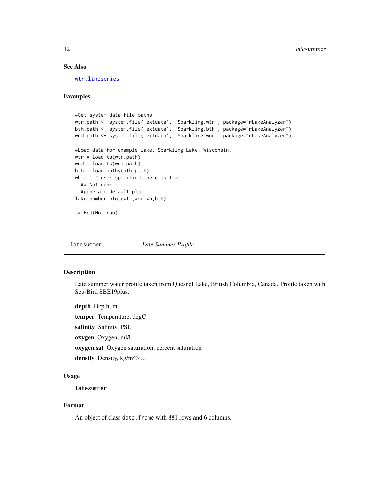# <span id="page-11-0"></span>See Also

[wtr.lineseries](#page-37-1)

# Examples

```
#Get system data file paths
wtr.path <- system.file('extdata', 'Sparkling.wtr', package="rLakeAnalyzer")
bth.path <- system.file('extdata', 'Sparkling.bth', package="rLakeAnalyzer")
wnd.path <- system.file('extdata', 'Sparkling.wnd', package="rLakeAnalyzer")
#Load data for example lake, Sparkilng Lake, Wisconsin.
wtr = load.ts(wtr.path)
wnd = load.ts(wnd.path)
bth = load.bathy(bth.path)
wh = 1 # user specified, here as 1 m.
  ## Not run:
  #generate default plot
lake.number.plot(wtr,wnd,wh,bth)
```
## End(Not run)

latesummer *Late Summer Profile*

# Description

Late summer water profile taken from Quesnel Lake, British Columbia, Canada. Profile taken with Sea-Bird SBE19plus.

depth Depth, m temper Temperature, degC salinity Salinity, PSU oxygen Oxygen, ml/l oxygen.sat Oxygen saturation, percent saturation density Density, kg/m^3 ...

# Usage

latesummer

# Format

An object of class data. frame with 881 rows and 6 columns.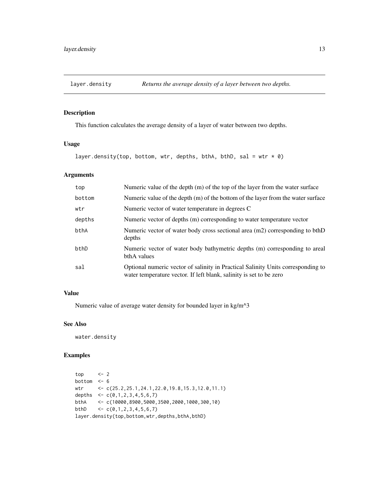<span id="page-12-1"></span><span id="page-12-0"></span>

This function calculates the average density of a layer of water between two depths.

# Usage

```
layer.density(top, bottom, wtr, depths, bthA, bthD, sal = wtr * 0)
```
# Arguments

| top    | Numeric value of the depth (m) of the top of the layer from the water surface                                                                           |
|--------|---------------------------------------------------------------------------------------------------------------------------------------------------------|
| bottom | Numeric value of the depth $(m)$ of the bottom of the layer from the water surface                                                                      |
| wtr    | Numeric vector of water temperature in degrees C                                                                                                        |
| depths | Numeric vector of depths (m) corresponding to water temperature vector                                                                                  |
| bthA   | Numeric vector of water body cross sectional area (m2) corresponding to bthD<br>depths                                                                  |
| bthD   | Numeric vector of water body bathymetric depths (m) corresponding to areal<br>bthA values                                                               |
| sal    | Optional numeric vector of salinity in Practical Salinity Units corresponding to<br>water temperature vector. If left blank, salinity is set to be zero |

# Value

Numeric value of average water density for bounded layer in kg/m^3

# See Also

water.density

#### Examples

```
top <- 2
bottom <- 6
wtr <- c(25.2,25.1,24.1,22.0,19.8,15.3,12.0,11.1)
depths \leq C(0,1,2,3,4,5,6,7)bthA <- c(10000,8900,5000,3500,2000,1000,300,10)
bthD \leftarrow c(0,1,2,3,4,5,6,7)layer.density(top,bottom,wtr,depths,bthA,bthD)
```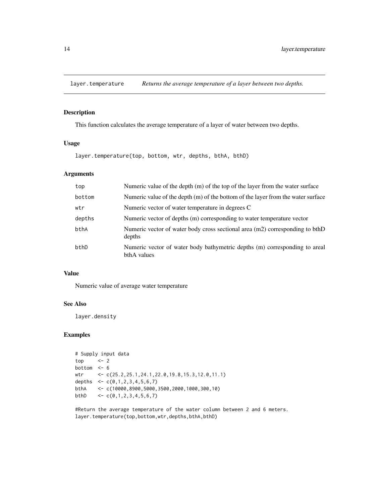<span id="page-13-0"></span>

This function calculates the average temperature of a layer of water between two depths.

# Usage

layer.temperature(top, bottom, wtr, depths, bthA, bthD)

# Arguments

| top    | Numeric value of the depth (m) of the top of the layer from the water surface             |
|--------|-------------------------------------------------------------------------------------------|
| bottom | Numeric value of the depth (m) of the bottom of the layer from the water surface          |
| wtr    | Numeric vector of water temperature in degrees C                                          |
| depths | Numeric vector of depths (m) corresponding to water temperature vector                    |
| bthA   | Numeric vector of water body cross sectional area (m2) corresponding to bthD<br>depths    |
| bthD   | Numeric vector of water body bathymetric depths (m) corresponding to areal<br>bthA values |

#### Value

Numeric value of average water temperature

# See Also

layer.density

# Examples

```
# Supply input data
top \leftarrow 2bottom <-6wtr <- c(25.2,25.1,24.1,22.0,19.8,15.3,12.0,11.1)
depths \leq C(0,1,2,3,4,5,6,7)bthA <- c(10000,8900,5000,3500,2000,1000,300,10)
bthD \langle -c(0,1,2,3,4,5,6,7) \rangle
```
#Return the average temperature of the water column between 2 and 6 meters. layer.temperature(top,bottom,wtr,depths,bthA,bthD)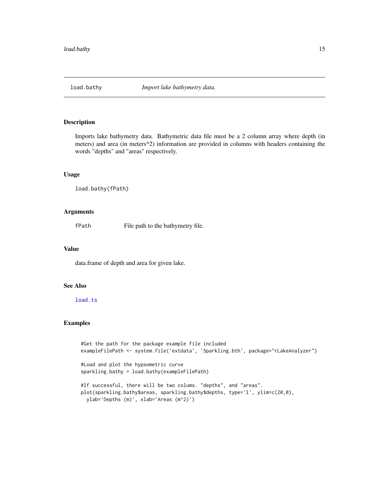<span id="page-14-1"></span><span id="page-14-0"></span>

Imports lake bathymetry data. Bathymetric data file must be a 2 column array where depth (in meters) and area (in meters^2) information are provided in columns with headers containing the words "depths" and "areas" respectively.

# Usage

```
load.bathy(fPath)
```
#### Arguments

fPath File path to the bathymetry file.

# Value

data.frame of depth and area for given lake.

# See Also

### [load.ts](#page-15-1)

## Examples

```
#Get the path for the package example file included
exampleFilePath <- system.file('extdata', 'Sparkling.bth', package="rLakeAnalyzer")
#Load and plot the hypsometric curve
sparkling.bathy = load.bathy(exampleFilePath)
#If successful, there will be two colums. "depths", and "areas".
plot(sparkling.bathy$areas, sparkling.bathy$depths, type='l', ylim=c(20,0),
  ylab='Depths (m)', xlab='Areas (m^2)')
```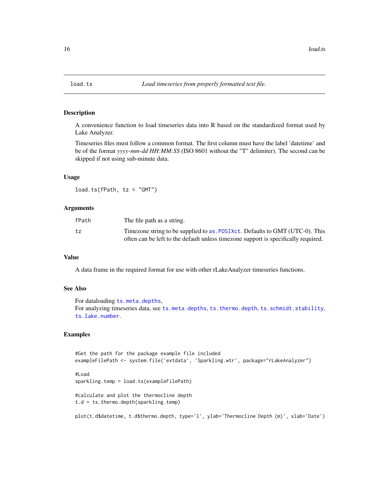<span id="page-15-1"></span><span id="page-15-0"></span>

A convenience function to load timeseries data into R based on the standardized format used by Lake Analyzer.

Timeseries files must follow a common format. The first column must have the label 'datetime' and be of the format *yyyy-mm-dd HH:MM:SS* (ISO 8601 without the "T" delimiter). The second can be skipped if not using sub-minute data.

#### Usage

 $load.ts(fPath, tz = "GMT")$ 

#### **Arguments**

| fPath | The file path as a string.                                                                                                                                           |
|-------|----------------------------------------------------------------------------------------------------------------------------------------------------------------------|
| tz    | Timezone string to be supplied to as . POSIXct. Defaults to GMT (UTC-0). This<br>often can be left to the default unless time zone support is specifically required. |

#### Value

A data frame in the required format for use with other rLakeAnalyzer timeseries functions.

#### See Also

```
For dataloading ts.meta.depths,
For analyzing timeseries data, see ts.meta.depths, ts.thermo.depth, ts.schmidt.stability,
ts.lake.number.
```
# Examples

```
#Get the path for the package example file included
exampleFilePath <- system.file('extdata', 'Sparkling.wtr', package="rLakeAnalyzer")
#Load
sparkling.temp = load.ts(exampleFilePath)
#calculate and plot the thermocline depth
t.d = ts.thermo.depth(sparkling.temp)
```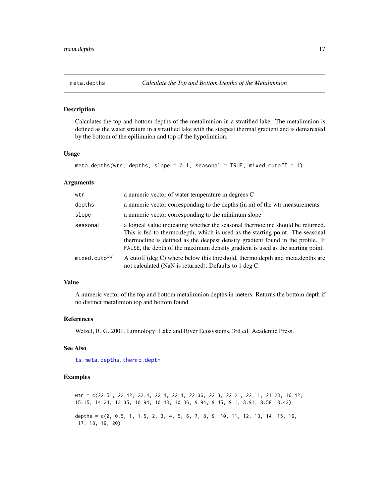<span id="page-16-1"></span><span id="page-16-0"></span>

Calculates the top and bottom depths of the metalimnion in a stratified lake. The metalimnion is defined as the water stratum in a stratified lake with the steepest thermal gradient and is demarcated by the bottom of the epilimnion and top of the hypolimnion.

# Usage

```
meta.depths(wtr, depths, slope = 0.1, seasonal = TRUE, mixed.cutoff = 1)
```
#### Arguments

| wtr          | a numeric vector of water temperature in degrees C                                                                                                                                                                                                                                                                                      |
|--------------|-----------------------------------------------------------------------------------------------------------------------------------------------------------------------------------------------------------------------------------------------------------------------------------------------------------------------------------------|
| depths       | a numeric vector corresponding to the depths (in m) of the wtr measurements                                                                                                                                                                                                                                                             |
| slope        | a numeric vector corresponding to the minimum slope                                                                                                                                                                                                                                                                                     |
| seasonal     | a logical value indicating whether the seasonal thermocline should be returned.<br>This is fed to thermo.depth, which is used as the starting point. The seasonal<br>thermocline is defined as the deepest density gradient found in the profile. If<br>FALSE, the depth of the maximum density gradient is used as the starting point. |
| mixed.cutoff | A cutoff (deg C) where below this threshold, thermo.depth and meta.depths are<br>not calculated (NaN is returned). Defaults to 1 deg C.                                                                                                                                                                                                 |

#### Value

A numeric vector of the top and bottom metalimnion depths in meters. Returns the bottom depth if no distinct metalimion top and bottom found.

# References

Wetzel, R. G. 2001. Limnology: Lake and River Ecosystems, 3rd ed. Academic Press.

#### See Also

[ts.meta.depths](#page-26-1), [thermo.depth](#page-19-1)

# Examples

wtr = c(22.51, 22.42, 22.4, 22.4, 22.4, 22.36, 22.3, 22.21, 22.11, 21.23, 16.42, 15.15, 14.24, 13.35, 10.94, 10.43, 10.36, 9.94, 9.45, 9.1, 8.91, 8.58, 8.43) depths =  $c(0, 0.5, 1, 1.5, 2, 3, 4, 5, 6, 7, 8, 9, 10, 11, 12, 13, 14, 15, 16,$ 17, 18, 19, 20)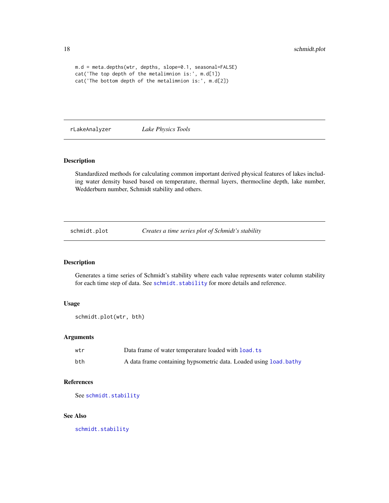```
m.d = meta.depths(wtr, depths, slope=0.1, seasonal=FALSE)
cat('The top depth of the metalimnion is:', m.d[1])
cat('The bottom depth of the metalimnion is:', m.d[2])
```
rLakeAnalyzer *Lake Physics Tools*

# Description

Standardized methods for calculating common important derived physical features of lakes including water density based based on temperature, thermal layers, thermocline depth, lake number, Wedderburn number, Schmidt stability and others.

schmidt.plot *Creates a time series plot of Schmidt's stability*

# Description

Generates a time series of Schmidt's stability where each value represents water column stability for each time step of data. See schmidt. stability for more details and reference.

#### Usage

```
schmidt.plot(wtr, bth)
```
#### Arguments

| wtr | Data frame of water temperature loaded with load. ts               |
|-----|--------------------------------------------------------------------|
| bth | A data frame containing hypsometric data. Loaded using load, bathy |

# References

See [schmidt.stability](#page-18-1)

# See Also

[schmidt.stability](#page-18-1)

<span id="page-17-0"></span>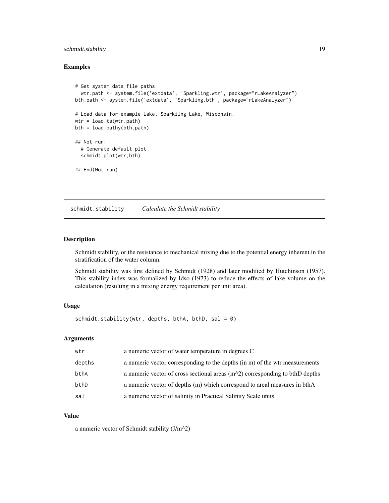# <span id="page-18-0"></span>schmidt.stability 19

#### Examples

```
# Get system data file paths
  wtr.path <- system.file('extdata', 'Sparkling.wtr', package="rLakeAnalyzer")
bth.path <- system.file('extdata', 'Sparkling.bth', package="rLakeAnalyzer")
# Load data for example lake, Sparkilng Lake, Wisconsin.
wtr = load.ts(wtr.path)
bth = load.bathy(bth.path)
## Not run:
  # Generate default plot
  schmidt.plot(wtr,bth)
## End(Not run)
```
<span id="page-18-1"></span>schmidt.stability *Calculate the Schmidt stability*

#### Description

Schmidt stability, or the resistance to mechanical mixing due to the potential energy inherent in the stratification of the water column.

Schmidt stability was first defined by Schmidt (1928) and later modified by Hutchinson (1957). This stability index was formalized by Idso (1973) to reduce the effects of lake volume on the calculation (resulting in a mixing energy requirement per unit area).

#### Usage

```
schmidt.stability(wtr, depths, bthA, bthD, sal = 0)
```
# Arguments

| wtr    | a numeric vector of water temperature in degrees C                             |
|--------|--------------------------------------------------------------------------------|
| depths | a numeric vector corresponding to the depths (in m) of the wtr measurements    |
| bthA   | a numeric vector of cross sectional areas $(m^2)$ corresponding to bthD depths |
| bthD   | a numeric vector of depths (m) which correspond to areal measures in bthA      |
| sal    | a numeric vector of salinity in Practical Salinity Scale units                 |

#### Value

a numeric vector of Schmidt stability (J/m^2)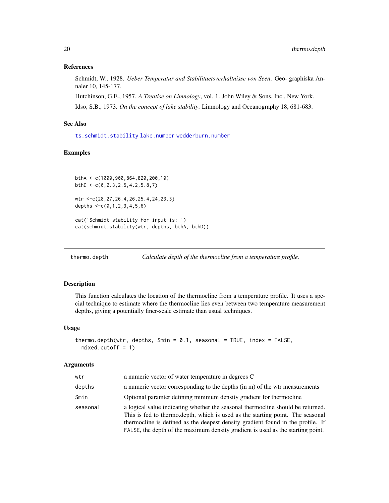#### <span id="page-19-0"></span>References

Schmidt, W., 1928. *Ueber Temperatur and Stabilitaetsverhaltnisse von Seen*. Geo- graphiska Annaler 10, 145-177.

Hutchinson, G.E., 1957. *A Treatise on Limnology*, vol. 1. John Wiley & Sons, Inc., New York. Idso, S.B., 1973. *On the concept of lake stability*. Limnology and Oceanography 18, 681-683.

#### See Also

[ts.schmidt.stability](#page-27-1) [lake.number](#page-9-1) [wedderburn.number](#page-33-1)

#### Examples

```
bthA <-c(1000,900,864,820,200,10)
bthD <-c(0,2.3,2.5,4.2,5.8,7)
```

```
wtr <-c(28,27,26.4,26,25.4,24,23.3)
depths lt-c(0,1,2,3,4,5,6)
```
cat('Schmidt stability for input is: ') cat(schmidt.stability(wtr, depths, bthA, bthD))

<span id="page-19-1"></span>thermo.depth *Calculate depth of the thermocline from a temperature profile.*

# Description

This function calculates the location of the thermocline from a temperature profile. It uses a special technique to estimate where the thermocline lies even between two temperature measurement depths, giving a potentially finer-scale estimate than usual techniques.

# Usage

```
thermo.depth(wtr, depths, Smin = 0.1, seasonal = TRUE, index = FALSE,
 mixed.cutoff = 1)
```
#### Arguments

| wtr      | a numeric vector of water temperature in degrees C                                                                                                                                                                                                                                                                                       |
|----------|------------------------------------------------------------------------------------------------------------------------------------------------------------------------------------------------------------------------------------------------------------------------------------------------------------------------------------------|
| depths   | a numeric vector corresponding to the depths (in m) of the wtr measurements                                                                                                                                                                                                                                                              |
| Smin     | Optional paramter defining minimum density gradient for thermocline                                                                                                                                                                                                                                                                      |
| seasonal | a logical value indicating whether the seasonal thermocline should be returned.<br>This is fed to thermo. depth, which is used as the starting point. The seasonal<br>thermocline is defined as the deepest density gradient found in the profile. If<br>FALSE, the depth of the maximum density gradient is used as the starting point. |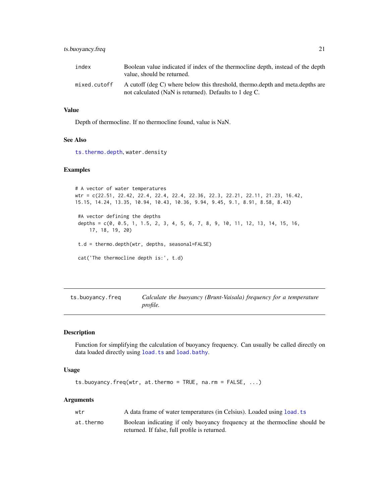# <span id="page-20-0"></span>ts.buoyancy.freq 21

| index        | Boolean value indicated if index of the thermocline depth, instead of the depth<br>value, should be returned.                           |
|--------------|-----------------------------------------------------------------------------------------------------------------------------------------|
| mixed.cutoff | A cutoff (deg C) where below this threshold, thermo.depth and meta.depths are<br>not calculated (NaN is returned). Defaults to 1 deg C. |

# Value

Depth of thermocline. If no thermocline found, value is NaN.

# See Also

[ts.thermo.depth](#page-28-1), water.density

### Examples

# A vector of water temperatures wtr = c(22.51, 22.42, 22.4, 22.4, 22.4, 22.36, 22.3, 22.21, 22.11, 21.23, 16.42, 15.15, 14.24, 13.35, 10.94, 10.43, 10.36, 9.94, 9.45, 9.1, 8.91, 8.58, 8.43) #A vector defining the depths depths = c(0, 0.5, 1, 1.5, 2, 3, 4, 5, 6, 7, 8, 9, 10, 11, 12, 13, 14, 15, 16, 17, 18, 19, 20) t.d = thermo.depth(wtr, depths, seasonal=FALSE) cat('The thermocline depth is:', t.d)

ts.buoyancy.freq *Calculate the buoyancy (Brunt-Vaisala) frequency for a temperature profile.*

#### Description

Function for simplifying the calculation of buoyancy frequency. Can usually be called directly on data loaded directly using [load.ts](#page-15-1) and [load.bathy](#page-14-1).

# Usage

```
ts.buoyancy.freq(wtr, at.thermo = TRUE, na.rm = FALSE, ...)
```
#### Arguments

| wtr       | A data frame of water temperatures (in Celsius). Loaded using load, ts     |
|-----------|----------------------------------------------------------------------------|
| at.thermo | Boolean indicating if only buoyancy frequency at the thermocline should be |
|           | returned. If false, full profile is returned.                              |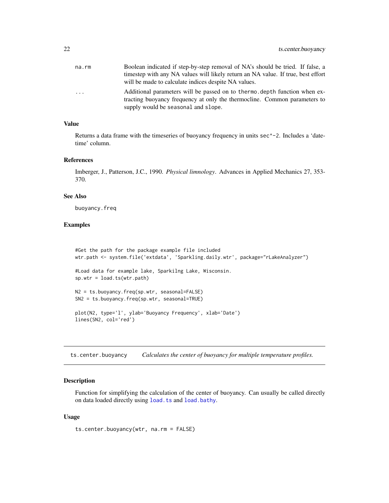<span id="page-21-0"></span>

| na.rm    | Boolean indicated if step-by-step removal of NA's should be tried. If false, a<br>timestep with any NA values will likely return an NA value. If true, best effort<br>will be made to calculate indices despite NA values. |
|----------|----------------------------------------------------------------------------------------------------------------------------------------------------------------------------------------------------------------------------|
| $\cdots$ | Additional parameters will be passed on to thermo depth function when ex-<br>tracting buoyancy frequency at only the thermocline. Common parameters to<br>supply would be seasonal and slope.                              |

# Value

Returns a data frame with the timeseries of buoyancy frequency in units sec^-2. Includes a 'datetime' column.

#### References

Imberger, J., Patterson, J.C., 1990. *Physical limnology*. Advances in Applied Mechanics 27, 353- 370.

#### See Also

buoyancy.freq

#### Examples

```
#Get the path for the package example file included
wtr.path <- system.file('extdata', 'Sparkling.daily.wtr', package="rLakeAnalyzer")
#Load data for example lake, Sparkilng Lake, Wisconsin.
sp.wtr = load.ts(wtr.path)
N2 = ts.buoyancy.freq(sp.wtr, seasonal=FALSE)
SN2 = ts.buoyancy.freq(sp.wtr, seasonal=TRUE)
plot(N2, type='l', ylab='Buoyancy Frequency', xlab='Date')
lines(SN2, col='red')
```
ts.center.buoyancy *Calculates the center of buoyancy for multiple temperature profiles.*

# Description

Function for simplifying the calculation of the center of buoyancy. Can usually be called directly on data loaded directly using [load.ts](#page-15-1) and [load.bathy](#page-14-1).

#### Usage

ts.center.buoyancy(wtr, na.rm = FALSE)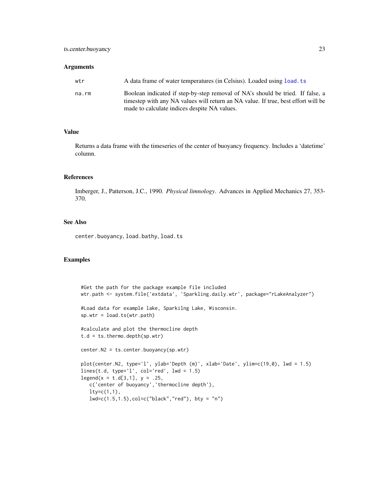#### **Arguments**

| wtr   | A data frame of water temperatures (in Celsius). Loaded using load, ts                                                                                              |
|-------|---------------------------------------------------------------------------------------------------------------------------------------------------------------------|
| na.rm | Boolean indicated if step-by-step removal of NA's should be tried. If false, a<br>timestep with any NA values will return an NA value. If true, best effort will be |
|       | made to calculate indices despite NA values.                                                                                                                        |

#### Value

Returns a data frame with the timeseries of the center of buoyancy frequency. Includes a 'datetime' column.

#### References

Imberger, J., Patterson, J.C., 1990. *Physical limnology*. Advances in Applied Mechanics 27, 353- 370.

#### See Also

center.buoyancy, load.bathy, load.ts

# Examples

```
#Get the path for the package example file included
wtr.path <- system.file('extdata', 'Sparkling.daily.wtr', package="rLakeAnalyzer")
#Load data for example lake, Sparkilng Lake, Wisconsin.
sp.wtr = load.ts(wtr.path)
#calculate and plot the thermocline depth
t.d = ts.thermo.depth(sp.wtr)
center.N2 = ts.center.buoyancy(sp.wtr)
plot(center.N2, type='l', ylab='Depth (m)', xlab='Date', ylim=c(19,0), lwd = 1.5)
lines(t.d, type='l', col='red', lwd = 1.5)legend(x = t.d[3,1], y = .25,c('center of buoyancy','thermocline depth'),
   lty=c(1,1),lwd=c(1.5, 1.5), col=c("black", "red"), bty = "n")
```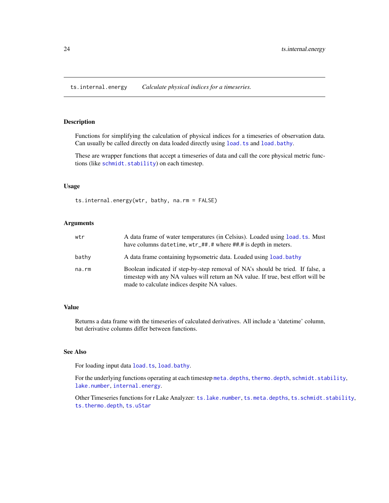<span id="page-23-1"></span><span id="page-23-0"></span>ts.internal.energy *Calculate physical indices for a timeseries.*

#### Description

Functions for simplifying the calculation of physical indices for a timeseries of observation data. Can usually be called directly on data loaded directly using [load.ts](#page-15-1) and [load.bathy](#page-14-1).

These are wrapper functions that accept a timeseries of data and call the core physical metric functions (like [schmidt.stability](#page-18-1)) on each timestep.

#### Usage

ts.internal.energy(wtr, bathy, na.rm = FALSE)

# Arguments

| wtr   | A data frame of water temperatures (in Celsius). Loaded using load, ts. Must<br>have columns datetime, wtr_##.# where ##.# is depth in meters.                                                                      |
|-------|---------------------------------------------------------------------------------------------------------------------------------------------------------------------------------------------------------------------|
| bathy | A data frame containing hypsometric data. Loaded using load, bathy                                                                                                                                                  |
| na.rm | Boolean indicated if step-by-step removal of NA's should be tried. If false, a<br>timestep with any NA values will return an NA value. If true, best effort will be<br>made to calculate indices despite NA values. |

#### Value

Returns a data frame with the timeseries of calculated derivatives. All include a 'datetime' column, but derivative columns differ between functions.

# See Also

For loading input data [load.ts](#page-15-1), [load.bathy](#page-14-1).

For the underlying functions operating at each timestep [meta.depths](#page-16-1), [thermo.depth](#page-19-1), [schmidt.stability](#page-18-1), [lake.number](#page-9-1), [internal.energy](#page-8-2).

Other Timeseries functions for r Lake Analyzer: [ts.lake.number](#page-24-1), [ts.meta.depths](#page-26-1), [ts.schmidt.stability](#page-27-1), [ts.thermo.depth](#page-28-1), [ts.uStar](#page-29-1)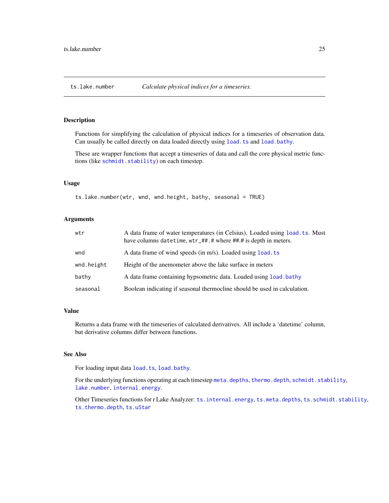<span id="page-24-1"></span><span id="page-24-0"></span>

Functions for simplifying the calculation of physical indices for a timeseries of observation data. Can usually be called directly on data loaded directly using [load.ts](#page-15-1) and [load.bathy](#page-14-1).

These are wrapper functions that accept a timeseries of data and call the core physical metric functions (like [schmidt.stability](#page-18-1)) on each timestep.

#### Usage

ts.lake.number(wtr, wnd, wnd.height, bathy, seasonal = TRUE)

# Arguments

| wtr        | A data frame of water temperatures (in Celsius). Loaded using load, ts. Must<br>have columns datetime, wtr_##.# where ##.# is depth in meters. |
|------------|------------------------------------------------------------------------------------------------------------------------------------------------|
| wnd        | A data frame of wind speeds (in m/s). Loaded using load, ts                                                                                    |
| wnd.height | Height of the anemometer above the lake surface in meters                                                                                      |
| bathy      | A data frame containing hypsometric data. Loaded using load bathy                                                                              |
| seasonal   | Boolean indicating if seasonal thermocline should be used in calculation.                                                                      |

# Value

Returns a data frame with the timeseries of calculated derivatives. All include a 'datetime' column, but derivative columns differ between functions.

# See Also

For loading input data [load.ts](#page-15-1), [load.bathy](#page-14-1).

For the underlying functions operating at each timestep [meta.depths](#page-16-1), [thermo.depth](#page-19-1), [schmidt.stability](#page-18-1), [lake.number](#page-9-1), [internal.energy](#page-8-2).

Other Timeseries functions for r Lake Analyzer: [ts.internal.energy](#page-23-1), [ts.meta.depths](#page-26-1), [ts.schmidt.stability](#page-27-1), [ts.thermo.depth](#page-28-1), [ts.uStar](#page-29-1)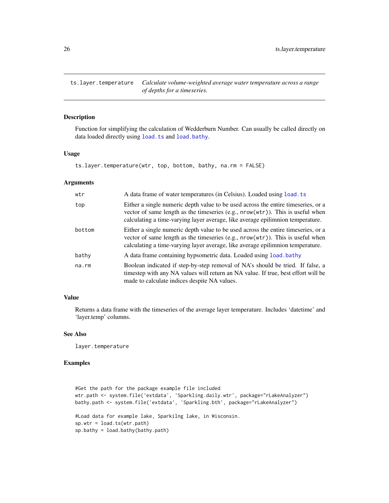<span id="page-25-0"></span>ts.layer.temperature *Calculate volume-weighted average water temperature across a range of depths for a timeseries.*

#### Description

Function for simplifying the calculation of Wedderburn Number. Can usually be called directly on data loaded directly using [load.ts](#page-15-1) and [load.bathy](#page-14-1).

#### Usage

```
ts.layer.temperature(wtr, top, bottom, bathy, na.rm = FALSE)
```
# **Arguments**

| wtr    | A data frame of water temperatures (in Celsius). Loaded using load, ts                                                                                                                                                                                   |
|--------|----------------------------------------------------------------------------------------------------------------------------------------------------------------------------------------------------------------------------------------------------------|
| top    | Either a single numeric depth value to be used across the entire timeseries, or a<br>vector of same length as the timeseries $(e.g., nrow(wtr))$ . This is useful when<br>calculating a time-varying layer average, like average epilimnion temperature. |
| bottom | Either a single numeric depth value to be used across the entire timeseries, or a<br>vector of same length as the timeseries $(e.g., nrow(wtr))$ . This is useful when<br>calculating a time-varying layer average, like average epilimnion temperature. |
| bathy  | A data frame containing hypsometric data. Loaded using load, bathy                                                                                                                                                                                       |
| na.rm  | Boolean indicated if step-by-step removal of NA's should be tried. If false, a<br>timestep with any NA values will return an NA value. If true, best effort will be<br>made to calculate indices despite NA values.                                      |

# Value

Returns a data frame with the timeseries of the average layer temperature. Includes 'datetime' and 'layer.temp' columns.

# See Also

layer.temperature

# Examples

```
#Get the path for the package example file included
wtr.path <- system.file('extdata', 'Sparkling.daily.wtr', package="rLakeAnalyzer")
bathy.path <- system.file('extdata', 'Sparkling.bth', package="rLakeAnalyzer")
#Load data for example lake, Sparkilng lake, in Wisconsin.
sp.wtr = load.ts(wtr.path)
sp.bathy = load.bathy(bathy.path)
```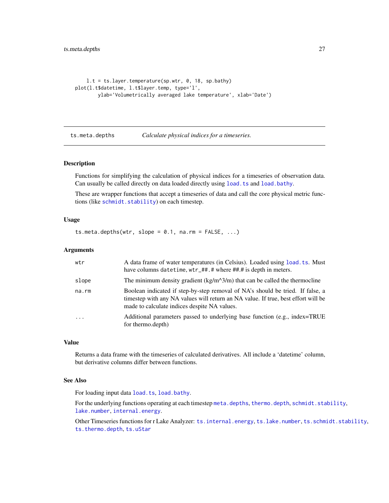```
l.t = ts.layer.temperature(sp.wtr, 0, 18, sp.bathy)
plot(l.t$datetime, l.t$layer.temp, type='l',
       ylab='Volumetrically averaged lake temperature', xlab='Date')
```
<span id="page-26-1"></span>ts.meta.depths *Calculate physical indices for a timeseries.*

#### Description

Functions for simplifying the calculation of physical indices for a timeseries of observation data. Can usually be called directly on data loaded directly using [load.ts](#page-15-1) and [load.bathy](#page-14-1).

These are wrapper functions that accept a timeseries of data and call the core physical metric functions (like [schmidt.stability](#page-18-1)) on each timestep.

# Usage

ts.meta.depths(wtr, slope =  $0.1$ , na.rm =  $FALSE, ...$ )

#### Arguments

| wtr                     | A data frame of water temperatures (in Celsius). Loaded using load. ts. Must<br>have columns datetime, wtr_##.# where ##.# is depth in meters.                                                                      |
|-------------------------|---------------------------------------------------------------------------------------------------------------------------------------------------------------------------------------------------------------------|
| slope                   | The minimum density gradient ( $\text{kg/m}^3/m$ ) that can be called the thermocline                                                                                                                               |
| na.rm                   | Boolean indicated if step-by-step removal of NA's should be tried. If false, a<br>timestep with any NA values will return an NA value. If true, best effort will be<br>made to calculate indices despite NA values. |
| $\cdot$ $\cdot$ $\cdot$ | Additional parameters passed to underlying base function (e.g., index=TRUE)<br>for thermo.depth)                                                                                                                    |

# Value

Returns a data frame with the timeseries of calculated derivatives. All include a 'datetime' column, but derivative columns differ between functions.

# See Also

For loading input data [load.ts](#page-15-1), [load.bathy](#page-14-1).

For the underlying functions operating at each timestep [meta.depths](#page-16-1), [thermo.depth](#page-19-1), [schmidt.stability](#page-18-1), [lake.number](#page-9-1), [internal.energy](#page-8-2).

Other Timeseries functions for r Lake Analyzer: [ts.internal.energy](#page-23-1), [ts.lake.number](#page-24-1), [ts.schmidt.stability](#page-27-1), [ts.thermo.depth](#page-28-1), [ts.uStar](#page-29-1)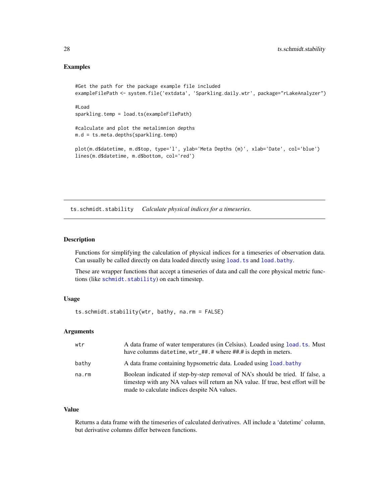# Examples

```
#Get the path for the package example file included
exampleFilePath <- system.file('extdata', 'Sparkling.daily.wtr', package="rLakeAnalyzer")
#Load
sparkling.temp = load.ts(exampleFilePath)
#calculate and plot the metalimnion depths
m.d = ts.meta.depths(sparkling.temp)
plot(m.d$datetime, m.d$top, type='l', ylab='Meta Depths (m)', xlab='Date', col='blue')
lines(m.d$datetime, m.d$bottom, col='red')
```
<span id="page-27-1"></span>ts.schmidt.stability *Calculate physical indices for a timeseries.*

#### Description

Functions for simplifying the calculation of physical indices for a timeseries of observation data. Can usually be called directly on data loaded directly using [load.ts](#page-15-1) and [load.bathy](#page-14-1).

These are wrapper functions that accept a timeseries of data and call the core physical metric functions (like [schmidt.stability](#page-18-1)) on each timestep.

# Usage

ts.schmidt.stability(wtr, bathy, na.rm = FALSE)

# Arguments

| wtr   | A data frame of water temperatures (in Celsius). Loaded using load, ts. Must<br>have columns datetime, $wtr$ ##.# where ##.# is depth in meters.                                                                    |
|-------|---------------------------------------------------------------------------------------------------------------------------------------------------------------------------------------------------------------------|
| bathy | A data frame containing hypsometric data. Loaded using load, bathy                                                                                                                                                  |
| na.rm | Boolean indicated if step-by-step removal of NA's should be tried. If false, a<br>timestep with any NA values will return an NA value. If true, best effort will be<br>made to calculate indices despite NA values. |

# Value

Returns a data frame with the timeseries of calculated derivatives. All include a 'datetime' column, but derivative columns differ between functions.

<span id="page-27-0"></span>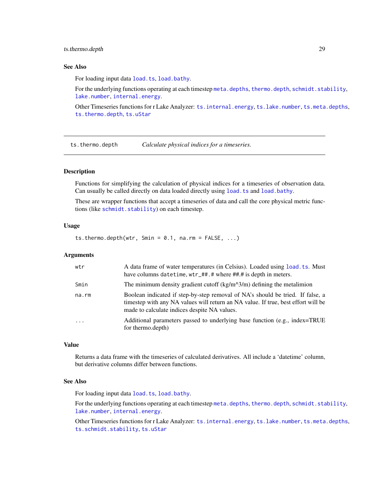## <span id="page-28-0"></span>ts.thermo.depth 29

# See Also

For loading input data [load.ts](#page-15-1), [load.bathy](#page-14-1).

For the underlying functions operating at each timestep [meta.depths](#page-16-1), [thermo.depth](#page-19-1), [schmidt.stability](#page-18-1), [lake.number](#page-9-1), [internal.energy](#page-8-2).

Other Timeseries functions for r Lake Analyzer: [ts.internal.energy](#page-23-1), [ts.lake.number](#page-24-1), [ts.meta.depths](#page-26-1), [ts.thermo.depth](#page-28-1), [ts.uStar](#page-29-1)

<span id="page-28-1"></span>ts.thermo.depth *Calculate physical indices for a timeseries.*

# **Description**

Functions for simplifying the calculation of physical indices for a timeseries of observation data. Can usually be called directly on data loaded directly using [load.ts](#page-15-1) and [load.bathy](#page-14-1).

These are wrapper functions that accept a timeseries of data and call the core physical metric functions (like [schmidt.stability](#page-18-1)) on each timestep.

#### Usage

ts.thermo.depth(wtr, Smin =  $0.1$ , na.rm =  $FALSE, ...$ )

#### Arguments

| wtr                     | A data frame of water temperatures (in Celsius). Loaded using load, ts. Must<br>have columns datetime, wtr_##.# where ##.# is depth in meters.                                                                      |
|-------------------------|---------------------------------------------------------------------------------------------------------------------------------------------------------------------------------------------------------------------|
| Smin                    | The minimum density gradient cutoff $\frac{\text{kg}}{m^3}$ defining the metalimion                                                                                                                                 |
| na.rm                   | Boolean indicated if step-by-step removal of NA's should be tried. If false, a<br>timestep with any NA values will return an NA value. If true, best effort will be<br>made to calculate indices despite NA values. |
| $\cdot$ $\cdot$ $\cdot$ | Additional parameters passed to underlying base function (e.g., index=TRUE)<br>for thermo.depth)                                                                                                                    |

#### Value

Returns a data frame with the timeseries of calculated derivatives. All include a 'datetime' column, but derivative columns differ between functions.

# See Also

For loading input data [load.ts](#page-15-1), [load.bathy](#page-14-1).

For the underlying functions operating at each timestep [meta.depths](#page-16-1), [thermo.depth](#page-19-1), [schmidt.stability](#page-18-1), [lake.number](#page-9-1), [internal.energy](#page-8-2).

Other Timeseries functions for r Lake Analyzer: [ts.internal.energy](#page-23-1), [ts.lake.number](#page-24-1), [ts.meta.depths](#page-26-1), [ts.schmidt.stability](#page-27-1), [ts.uStar](#page-29-1)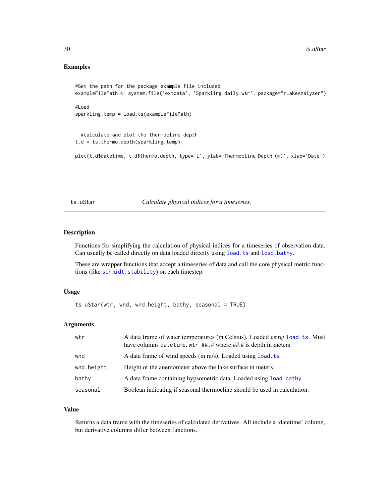#### <span id="page-29-0"></span>Examples

```
#Get the path for the package example file included
exampleFilePath <- system.file('extdata', 'Sparkling.daily.wtr', package="rLakeAnalyzer")
#Load
sparkling.temp = load.ts(exampleFilePath)
 #calculate and plot the thermocline depth
t.d = ts.thermo.depth(sparkling.temp)
plot(t.d$datetime, t.d$thermo.depth, type='l', ylab='Thermocline Depth (m)', xlab='Date')
```
<span id="page-29-1"></span>ts.uStar *Calculate physical indices for a timeseries.*

#### Description

Functions for simplifying the calculation of physical indices for a timeseries of observation data. Can usually be called directly on data loaded directly using [load.ts](#page-15-1) and [load.bathy](#page-14-1).

These are wrapper functions that accept a timeseries of data and call the core physical metric functions (like [schmidt.stability](#page-18-1)) on each timestep.

#### Usage

ts.uStar(wtr, wnd, wnd.height, bathy, seasonal = TRUE)

# Arguments

| wtr        | A data frame of water temperatures (in Celsius). Loaded using load, ts. Must<br>have columns datetime, wtr_##.# where ##.# is depth in meters. |
|------------|------------------------------------------------------------------------------------------------------------------------------------------------|
| wnd        | A data frame of wind speeds (in m/s). Loaded using load, ts                                                                                    |
| wnd.height | Height of the anemometer above the lake surface in meters                                                                                      |
| bathy      | A data frame containing hypsometric data. Loaded using load, bathy                                                                             |
| seasonal   | Boolean indicating if seasonal thermocline should be used in calculation.                                                                      |

# Value

Returns a data frame with the timeseries of calculated derivatives. All include a 'datetime' column, but derivative columns differ between functions.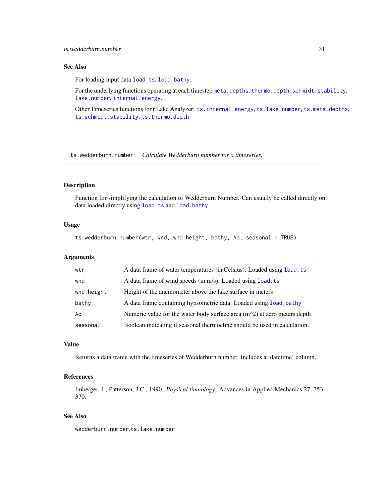# <span id="page-30-0"></span>See Also

For loading input data [load.ts](#page-15-1), [load.bathy](#page-14-1).

For the underlying functions operating at each timestep [meta.depths](#page-16-1), [thermo.depth](#page-19-1), [schmidt.stability](#page-18-1), [lake.number](#page-9-1), [internal.energy](#page-8-2).

Other Timeseries functions for r Lake Analyzer: [ts.internal.energy](#page-23-1), [ts.lake.number](#page-24-1), [ts.meta.depths](#page-26-1), [ts.schmidt.stability](#page-27-1), [ts.thermo.depth](#page-28-1)

<span id="page-30-1"></span>ts.wedderburn.number *Calculate Wedderburn number for a timeseries.*

# Description

Function for simplifying the calculation of Wedderburn Number. Can usually be called directly on data loaded directly using [load.ts](#page-15-1) and [load.bathy](#page-14-1).

#### Usage

ts.wedderburn.number(wtr, wnd, wnd.height, bathy, Ao, seasonal = TRUE)

#### Arguments

| wtr        | A data frame of water temperatures (in Celsius). Loaded using load. ts     |
|------------|----------------------------------------------------------------------------|
| wnd        | A data frame of wind speeds (in m/s). Loaded using load. ts                |
| wnd.height | Height of the anemometer above the lake surface in meters                  |
| bathy      | A data frame containing hypsometric data. Loaded using load, bathy         |
| Ao         | Numeric value for the water body surface area $(m^2)$ at zero meters depth |
| seasonal   | Boolean indicating if seasonal thermocline should be used in calculation.  |
|            |                                                                            |

# Value

Returns a data frame with the timeseries of Wedderburn number. Includes a 'datetime' column.

# References

Imberger, J., Patterson, J.C., 1990. *Physical limnology*. Advances in Applied Mechanics 27, 353- 370.

# See Also

wedderburn.number,ts.lake.number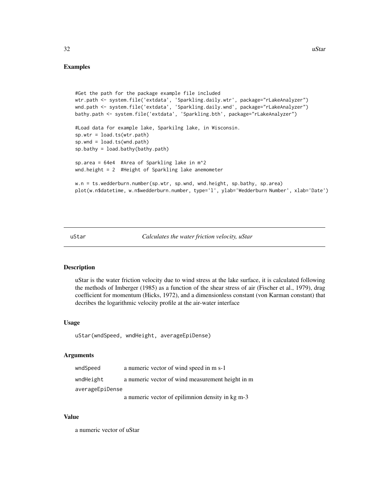```
#Get the path for the package example file included
wtr.path <- system.file('extdata', 'Sparkling.daily.wtr', package="rLakeAnalyzer")
wnd.path <- system.file('extdata', 'Sparkling.daily.wnd', package="rLakeAnalyzer")
bathy.path <- system.file('extdata', 'Sparkling.bth', package="rLakeAnalyzer")
#Load data for example lake, Sparkilng lake, in Wisconsin.
sp.wtr = load.ts(wtr.path)
sp.wnd = load.ts(wnd.path)
sp.bathy = load.bathy(bathy.path)
sp.area = 64e4 #Area of Sparkling lake in m^2
wnd.height = 2 #Height of Sparkling lake anemometer
w.n = ts.wedderburn.number(sp.wtr, sp.wnd, wnd.height, sp.bathy, sp.area)
plot(w.n$datetime, w.n$wedderburn.number, type='l', ylab='Wedderburn Number', xlab='Date')
```
uStar *Calculates the water friction velocity, uStar*

#### Description

uStar is the water friction velocity due to wind stress at the lake surface, it is calculated following the methods of Imberger (1985) as a function of the shear stress of air (Fischer et al., 1979), drag coefficient for momentum (Hicks, 1972), and a dimensionless constant (von Karman constant) that decribes the logarithmic velocity profile at the air-water interface

#### Usage

uStar(wndSpeed, wndHeight, averageEpiDense)

# Arguments

| wndSpeed        | a numeric vector of wind speed in m s-1          |
|-----------------|--------------------------------------------------|
| wndHeight       | a numeric vector of wind measurement height in m |
| averageEpiDense |                                                  |
|                 | a numeric vector of epilimnion density in kg m-3 |

#### Value

a numeric vector of uStar

<span id="page-31-0"></span> $32$  uStar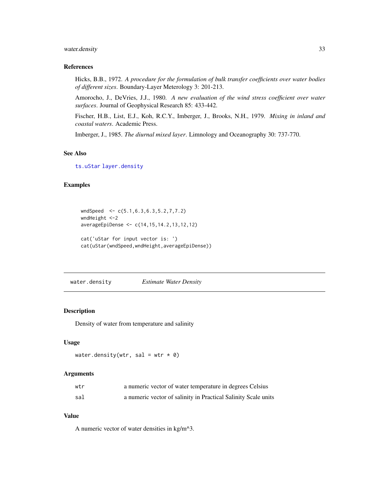#### <span id="page-32-0"></span>water.density 33

# References

Hicks, B.B., 1972. *A procedure for the formulation of bulk transfer coefficients over water bodies of different sizes*. Boundary-Layer Meterology 3: 201-213.

Amorocho, J., DeVries, J.J., 1980. *A new evaluation of the wind stress coefficient over water surfaces*. Journal of Geophysical Research 85: 433-442.

Fischer, H.B., List, E.J., Koh, R.C.Y., Imberger, J., Brooks, N.H., 1979. *Mixing in inland and coastal waters*. Academic Press.

Imberger, J., 1985. *The diurnal mixed layer*. Limnology and Oceanography 30: 737-770.

# See Also

[ts.uStar](#page-29-1) [layer.density](#page-12-1)

# Examples

```
wndSpeed <- c(5.1,6.3,6.3,5.2,7,7.2)
wndHeight <-2
averageEpiDense <- c(14,15,14.2,13,12,12)
cat('uStar for input vector is: ')
cat(uStar(wndSpeed,wndHeight,averageEpiDense))
```
water.density *Estimate Water Density*

# Description

Density of water from temperature and salinity

# Usage

```
water.density(wtr, sal = wtr * 0)
```
#### Arguments

| wtr | a numeric vector of water temperature in degrees Celsius       |
|-----|----------------------------------------------------------------|
| sal | a numeric vector of salinity in Practical Salinity Scale units |

# Value

A numeric vector of water densities in kg/m^3.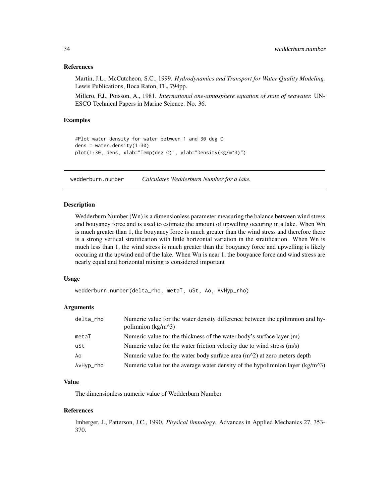#### <span id="page-33-0"></span>References

Martin, J.L., McCutcheon, S.C., 1999. *Hydrodynamics and Transport for Water Quality Modeling.* Lewis Publications, Boca Raton, FL, 794pp.

Millero, F.J., Poisson, A., 1981. *International one-atmosphere equation of state of seawater.* UN-ESCO Technical Papers in Marine Science. No. 36.

#### Examples

```
#Plot water density for water between 1 and 30 deg C
dens = water.density(1:30)
plot(1:30, dens, xlab="Temp(deg C)", ylab="Density(kg/m^3)")
```
<span id="page-33-1"></span>wedderburn.number *Calculates Wedderburn Number for a lake.*

# Description

Wedderburn Number (Wn) is a dimensionless parameter measuring the balance between wind stress and bouyancy force and is used to estimate the amount of upwelling occuring in a lake. When Wn is much greater than 1, the bouyancy force is much greater than the wind stress and therefore there is a strong vertical stratification with little horizontal variation in the stratification. When Wn is much less than 1, the wind stress is much greater than the bouyancy force and upwelling is likely occuring at the upwind end of the lake. When Wn is near 1, the bouyance force and wind stress are nearly equal and horizontal mixing is considered important

#### Usage

wedderburn.number(delta\_rho, metaT, uSt, Ao, AvHyp\_rho)

# Arguments

| delta_rho | Numeric value for the water density difference between the epilimnion and hy-<br>polimnion $(kg/m^3)$ |
|-----------|-------------------------------------------------------------------------------------------------------|
| metaT     | Numeric value for the thickness of the water body's surface layer (m)                                 |
| uSt       | Numeric value for the water friction velocity due to wind stress (m/s)                                |
| Ao        | Numeric value for the water body surface area $(m^2)$ at zero meters depth                            |
| AvHyp_rho | Numeric value for the average water density of the hypolimnion layer ( $\text{kg/m}^{\wedge}3$ )      |

#### Value

The dimensionless numeric value of Wedderburn Number

#### References

Imberger, J., Patterson, J.C., 1990. *Physical limnology*. Advances in Applied Mechanics 27, 353- 370.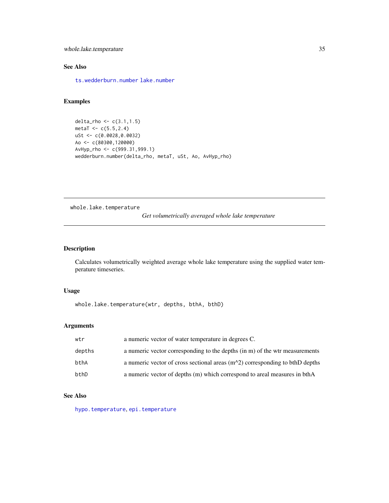<span id="page-34-0"></span>whole.lake.temperature 35

# See Also

[ts.wedderburn.number](#page-30-1) [lake.number](#page-9-1)

# Examples

```
delta_rho <- c(3.1,1.5)
metaT < -c(5.5, 2.4)uSt <- c(0.0028,0.0032)
Ao <- c(80300,120000)
AvHyp_rho <- c(999.31,999.1)
wedderburn.number(delta_rho, metaT, uSt, Ao, AvHyp_rho)
```
<span id="page-34-1"></span>whole.lake.temperature

*Get volumetrically averaged whole lake temperature*

# Description

Calculates volumetrically weighted average whole lake temperature using the supplied water temperature timeseries.

# Usage

whole.lake.temperature(wtr, depths, bthA, bthD)

# Arguments

| wtr    | a numeric vector of water temperature in degrees C.                            |
|--------|--------------------------------------------------------------------------------|
| depths | a numeric vector corresponding to the depths (in m) of the wtr measurements    |
| bthA   | a numeric vector of cross sectional areas $(m^2)$ corresponding to bthD depths |
| bthD   | a numeric vector of depths (m) which correspond to areal measures in bthA      |

# See Also

[hypo.temperature](#page-8-1), [epi.temperature](#page-6-1)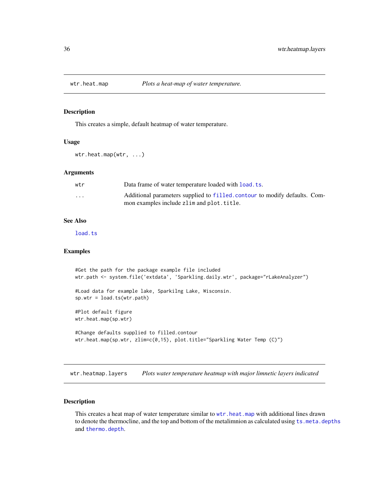<span id="page-35-1"></span><span id="page-35-0"></span>

This creates a simple, default heatmap of water temperature.

#### Usage

wtr.heat.map(wtr, ...)

#### **Arguments**

| wtr     | Data frame of water temperature loaded with load. ts.                                                                    |
|---------|--------------------------------------------------------------------------------------------------------------------------|
| $\cdot$ | Additional parameters supplied to filled, contour to modify defaults. Com-<br>mon examples include zlim and plot. title. |

# See Also

[load.ts](#page-15-1)

# Examples

```
#Get the path for the package example file included
wtr.path <- system.file('extdata', 'Sparkling.daily.wtr', package="rLakeAnalyzer")
#Load data for example lake, Sparkilng Lake, Wisconsin.
sp.wtr = load.ts(wtr.path)
#Plot default figure
wtr.heat.map(sp.wtr)
#Change defaults supplied to filled.contour
wtr.heat.map(sp.wtr, zlim=c(0,15), plot.title="Sparkling Water Temp (C)")
```
wtr.heatmap.layers *Plots water temperature heatmap with major limnetic layers indicated*

# Description

This creates a heat map of water temperature similar to [wtr.heat.map](#page-35-1) with additional lines drawn to denote the thermocline, and the top and bottom of the metalimnion as calculated using [ts.meta.depths](#page-26-1) and [thermo.depth](#page-19-1).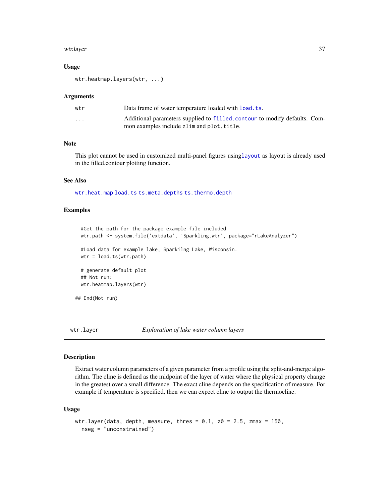#### <span id="page-36-0"></span>wtr.layer 37

#### Usage

wtr.heatmap.layers(wtr, ...)

#### **Arguments**

| wtr                     | Data frame of water temperature loaded with load, ts.                                                                   |
|-------------------------|-------------------------------------------------------------------------------------------------------------------------|
| $\cdot$ $\cdot$ $\cdot$ | Additional parameters supplied to filled.contour to modify defaults. Com-<br>mon examples include zlim and plot. title. |

#### Note

This plot cannot be used in customized multi-panel figures using[layout](#page-0-0) as layout is already used in the filled.contour plotting function.

#### See Also

[wtr.heat.map](#page-35-1) [load.ts](#page-15-1) [ts.meta.depths](#page-26-1) [ts.thermo.depth](#page-28-1)

# Examples

```
#Get the path for the package example file included
 wtr.path <- system.file('extdata', 'Sparkling.wtr', package="rLakeAnalyzer")
 #Load data for example lake, Sparkilng Lake, Wisconsin.
 wtr = load.ts(wtr.path)# generate default plot
 ## Not run:
 wtr.heatmap.layers(wtr)
## End(Not run)
```
wtr.layer *Exploration of lake water column layers*

#### Description

Extract water column parameters of a given parameter from a profile using the split-and-merge algorithm. The cline is defined as the midpoint of the layer of water where the physical property change in the greatest over a small difference. The exact cline depends on the specification of measure. For example if temperature is specified, then we can expect cline to output the thermocline.

#### Usage

```
wtr.layer(data, depth, measure, thres = 0.1, z0 = 2.5, zmax = 150,
  nseg = "unconstrained")
```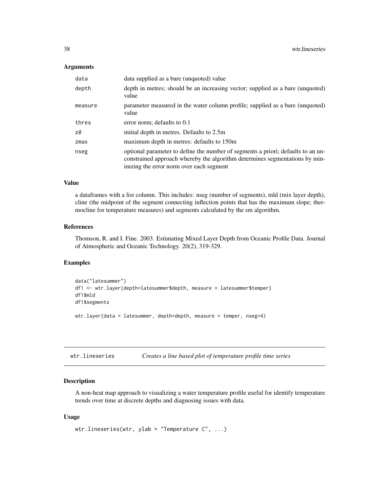#### <span id="page-37-0"></span>**Arguments**

| data    | data supplied as a bare (unquoted) value                                                                                                                                                                   |
|---------|------------------------------------------------------------------------------------------------------------------------------------------------------------------------------------------------------------|
| depth   | depth in metres; should be an increasing vector; supplied as a bare (unquoted)<br>value                                                                                                                    |
| measure | parameter measured in the water column profile; supplied as a bare (unquoted)<br>value                                                                                                                     |
| thres   | error norm; defaults to 0.1                                                                                                                                                                                |
| z0      | initial depth in metres. Defaults to 2.5m                                                                                                                                                                  |
| $z$ max | maximum depth in metres: defaults to 150m                                                                                                                                                                  |
| nseg    | optional parameter to define the number of segments a priori; defaults to an un-<br>constrained approach whereby the algorithm determines segmentations by min-<br>imzing the error norm over each segment |

# Value

a dataframes with a list column. This includes: nseg (number of segments), mld (mix layer depth), cline (the midpoint of the segment connecting inflection points that has the maximum slope; thermocline for temperature measures) and segments calculated by the sm algorithm.

# References

Thomson, R. and I. Fine. 2003. Estimating Mixed Layer Depth from Oceanic Profile Data. Journal of Atmospheric and Oceanic Technology. 20(2), 319-329.

#### Examples

```
data("latesummer")
df1 <- wtr.layer(depth=latesummer$depth, measure = latesummer$temper)
df1$mld
df1$segments
wtr.layer(data = latesummer, depth=depth, measure = temper, nseg=4)
```
<span id="page-37-1"></span>wtr.lineseries *Creates a line based plot of temperature profile time series*

# Description

A non-heat map approach to visualizing a water temperature profile useful for identify temperature trends over time at discrete depths and diagnosing issues with data.

#### Usage

```
wtr.lineseries(wtr, ylab = "Temperature C", ...)
```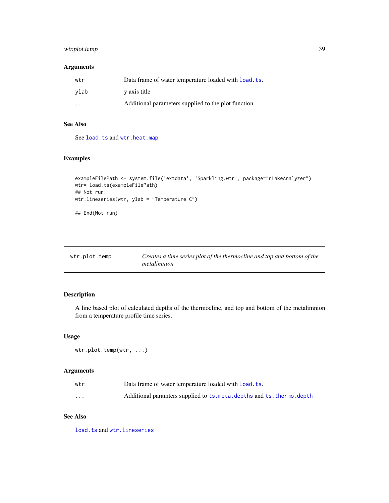# <span id="page-38-0"></span>wtr.plot.temp 39

# Arguments

| wtr  | Data frame of water temperature loaded with load. ts. |
|------|-------------------------------------------------------|
| vlab | y axis title                                          |
| .    | Additional parameters supplied to the plot function   |

# See Also

See [load.ts](#page-15-1) and [wtr.heat.map](#page-35-1)

### Examples

```
exampleFilePath <- system.file('extdata', 'Sparkling.wtr', package="rLakeAnalyzer")
wtr= load.ts(exampleFilePath)
## Not run:
wtr.lineseries(wtr, ylab = "Temperature C")
## End(Not run)
```

| wtr.plot.temp | Creates a time series plot of the thermocline and top and bottom of the |
|---------------|-------------------------------------------------------------------------|
|               | metalimnion                                                             |

# Description

A line based plot of calculated depths of the thermocline, and top and bottom of the metalimnion from a temperature profile time series.

# Usage

```
wtr.plot.temp(wtr, ...)
```
# Arguments

| wtr      | Data frame of water temperature loaded with load. ts.               |
|----------|---------------------------------------------------------------------|
| $\cdots$ | Additional paramters supplied to ts.meta.depths and ts.thermo.depth |

# See Also

[load.ts](#page-15-1) and [wtr.lineseries](#page-37-1)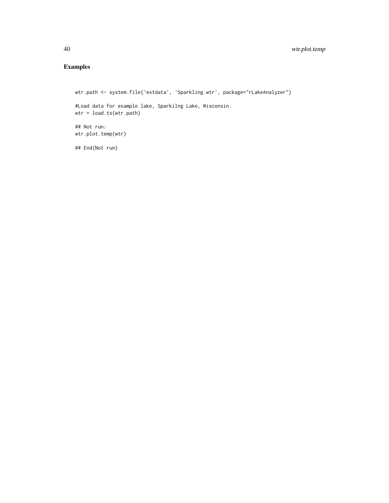# Examples

```
wtr.path <- system.file('extdata', 'Sparkling.wtr', package="rLakeAnalyzer")
#Load data for example lake, Sparkilng Lake, Wisconsin.
wtr = load.ts(wtr.path)
## Not run:
wtr.plot.temp(wtr)
```
## End(Not run)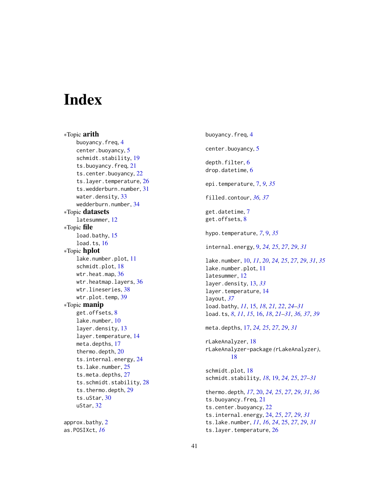# <span id="page-40-0"></span>**Index**

∗Topic arith buoyancy.freq, [4](#page-3-0) center.buoyancy, [5](#page-4-0) schmidt.stability, [19](#page-18-0) ts.buoyancy.freq, [21](#page-20-0) ts.center.buoyancy, [22](#page-21-0) ts.layer.temperature, [26](#page-25-0) ts.wedderburn.number, [31](#page-30-0) water.density, [33](#page-32-0) wedderburn.number, [34](#page-33-0) ∗Topic datasets latesummer, [12](#page-11-0) ∗Topic file load.bathy, [15](#page-14-0) load.ts, [16](#page-15-0) ∗Topic hplot lake.number.plot, [11](#page-10-0) schmidt.plot, [18](#page-17-0) wtr.heat.map, [36](#page-35-0) wtr.heatmap.layers, [36](#page-35-0) wtr.lineseries, [38](#page-37-0) wtr.plot.temp, [39](#page-38-0) ∗Topic manip get.offsets, [8](#page-7-0) lake.number, [10](#page-9-0) layer.density, [13](#page-12-0) layer.temperature, [14](#page-13-0) meta.depths, [17](#page-16-0) thermo.depth, [20](#page-19-0) ts.internal.energy, [24](#page-23-0) ts.lake.number, [25](#page-24-0) ts.meta.depths, [27](#page-26-0) ts.schmidt.stability, [28](#page-27-0) ts.thermo.depth, [29](#page-28-0) ts.uStar, [30](#page-29-0) uStar, [32](#page-31-0) approx.bathy, [2](#page-1-0) as.POSIXct, *[16](#page-15-0)*

buoyancy.freq, [4](#page-3-0) center.buoyancy, [5](#page-4-0) depth.filter, [6](#page-5-0) drop.datetime, [6](#page-5-0) epi.temperature, [7,](#page-6-0) *[9](#page-8-0)*, *[35](#page-34-0)* filled.contour, *[36,](#page-35-0) [37](#page-36-0)* get.datetime, [7](#page-6-0) get.offsets, [8](#page-7-0) hypo.temperature, *[7](#page-6-0)*, [9,](#page-8-0) *[35](#page-34-0)* internal.energy, [9,](#page-8-0) *[24,](#page-23-0) [25](#page-24-0)*, *[27](#page-26-0)*, *[29](#page-28-0)*, *[31](#page-30-0)* lake.number, [10,](#page-9-0) *[11](#page-10-0)*, *[20](#page-19-0)*, *[24,](#page-23-0) [25](#page-24-0)*, *[27](#page-26-0)*, *[29](#page-28-0)*, *[31](#page-30-0)*, *[35](#page-34-0)* lake.number.plot, [11](#page-10-0) latesummer, [12](#page-11-0) layer.density, [13,](#page-12-0) *[33](#page-32-0)* layer.temperature, [14](#page-13-0) layout, *[37](#page-36-0)* load.bathy, *[11](#page-10-0)*, [15,](#page-14-0) *[18](#page-17-0)*, *[21,](#page-20-0) [22](#page-21-0)*, *[24](#page-23-0)[–31](#page-30-0)* load.ts, *[8](#page-7-0)*, *[11](#page-10-0)*, *[15](#page-14-0)*, [16,](#page-15-0) *[18](#page-17-0)*, *[21](#page-20-0)[–31](#page-30-0)*, *[36,](#page-35-0) [37](#page-36-0)*, *[39](#page-38-0)* meta.depths, [17,](#page-16-0) *[24,](#page-23-0) [25](#page-24-0)*, *[27](#page-26-0)*, *[29](#page-28-0)*, *[31](#page-30-0)* rLakeAnalyzer, [18](#page-17-0) rLakeAnalyzer-package *(*rLakeAnalyzer*)*, [18](#page-17-0) schmidt.plot, [18](#page-17-0) schmidt.stability, *[18](#page-17-0)*, [19,](#page-18-0) *[24,](#page-23-0) [25](#page-24-0)*, *[27](#page-26-0)[–31](#page-30-0)* thermo.depth, *[17](#page-16-0)*, [20,](#page-19-0) *[24,](#page-23-0) [25](#page-24-0)*, *[27](#page-26-0)*, *[29](#page-28-0)*, *[31](#page-30-0)*, *[36](#page-35-0)* ts.buoyancy.freq, [21](#page-20-0) ts.center.buoyancy, [22](#page-21-0) ts.internal.energy, [24,](#page-23-0) *[25](#page-24-0)*, *[27](#page-26-0)*, *[29](#page-28-0)*, *[31](#page-30-0)* ts.lake.number, *[11](#page-10-0)*, *[16](#page-15-0)*, *[24](#page-23-0)*, [25,](#page-24-0) *[27](#page-26-0)*, *[29](#page-28-0)*, *[31](#page-30-0)* ts.layer.temperature, [26](#page-25-0)